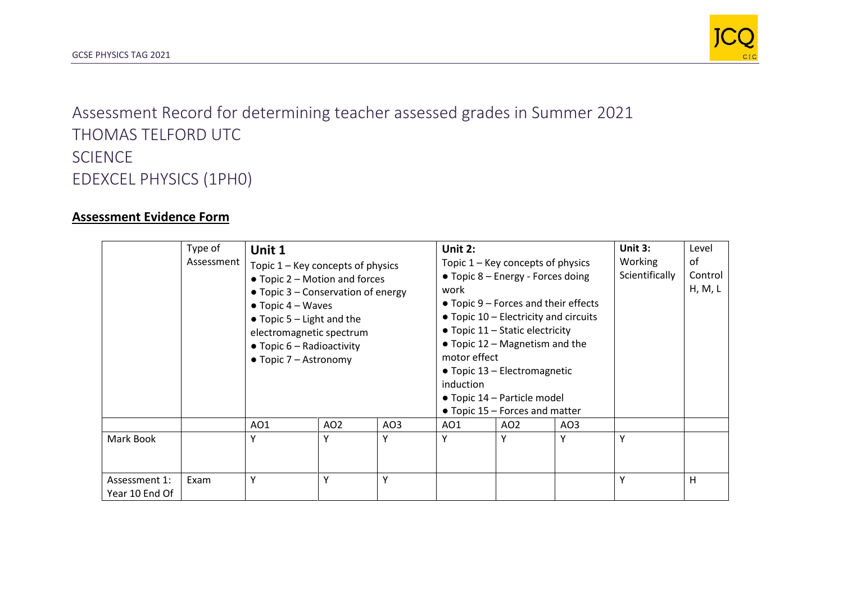

Assessment Record for determining teacher assessed grades in Summer 2021 THOMAS TELFORD UTC SCIENCE EDEXCEL PHYSICS (1PH0)

## **Assessment Evidence Form**

|                                 | Type of<br>Assessment | Unit 1<br>Topic $1 -$ Key concepts of physics<br>$\bullet$ Topic 2 – Motion and forces<br>$\bullet$ Topic 3 – Conservation of energy<br>$\bullet$ Topic 4 – Waves<br>$\bullet$ Topic 5 – Light and the<br>electromagnetic spectrum<br>$\bullet$ Topic 6 – Radioactivity<br>$\bullet$ Topic 7 – Astronomy |                 |     | Unit 2:<br>Topic $1 -$ Key concepts of physics<br>• Topic 8 – Energy - Forces doing<br>work<br>$\bullet$ Topic 9 – Forces and their effects<br>$\bullet$ Topic 10 – Electricity and circuits<br>• Topic 11 – Static electricity<br>• Topic 12 – Magnetism and the<br>motor effect<br>• Topic 13 - Electromagnetic<br>induction<br>• Topic 14 – Particle model<br>• Topic 15 - Forces and matter |                 |     | Unit 3:<br>Working<br>Scientifically | Level<br>of<br>Control<br>H, M, L |
|---------------------------------|-----------------------|----------------------------------------------------------------------------------------------------------------------------------------------------------------------------------------------------------------------------------------------------------------------------------------------------------|-----------------|-----|-------------------------------------------------------------------------------------------------------------------------------------------------------------------------------------------------------------------------------------------------------------------------------------------------------------------------------------------------------------------------------------------------|-----------------|-----|--------------------------------------|-----------------------------------|
|                                 |                       | AO1                                                                                                                                                                                                                                                                                                      | AO <sub>2</sub> | AO3 | AO1                                                                                                                                                                                                                                                                                                                                                                                             | AO <sub>2</sub> | AO3 |                                      |                                   |
| Mark Book                       |                       | Υ                                                                                                                                                                                                                                                                                                        | Υ               | Υ   | Υ                                                                                                                                                                                                                                                                                                                                                                                               | Υ               | ۷   | Υ                                    |                                   |
| Assessment 1:<br>Year 10 End Of | Exam                  | Υ                                                                                                                                                                                                                                                                                                        | Υ               | Υ   |                                                                                                                                                                                                                                                                                                                                                                                                 |                 |     | Υ                                    | Η                                 |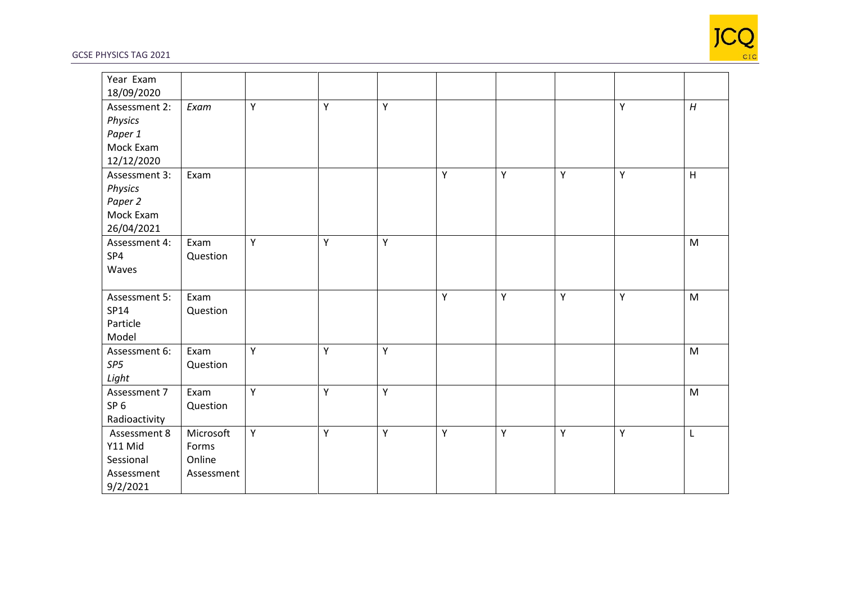

## GCSE PHYSICS TAG 2021

| Year Exam       |            |   |   |   |   |   |   |   |                                                                                       |
|-----------------|------------|---|---|---|---|---|---|---|---------------------------------------------------------------------------------------|
| 18/09/2020      |            |   |   |   |   |   |   |   |                                                                                       |
| Assessment 2:   | Exam       | Y | Y | Y |   |   |   | Y | H                                                                                     |
| Physics         |            |   |   |   |   |   |   |   |                                                                                       |
| Paper 1         |            |   |   |   |   |   |   |   |                                                                                       |
| Mock Exam       |            |   |   |   |   |   |   |   |                                                                                       |
| 12/12/2020      |            |   |   |   |   |   |   |   |                                                                                       |
| Assessment 3:   | Exam       |   |   |   | Y | Y | Y | Υ | H                                                                                     |
| Physics         |            |   |   |   |   |   |   |   |                                                                                       |
| Paper 2         |            |   |   |   |   |   |   |   |                                                                                       |
| Mock Exam       |            |   |   |   |   |   |   |   |                                                                                       |
| 26/04/2021      |            |   |   |   |   |   |   |   |                                                                                       |
| Assessment 4:   | Exam       | Υ | Y | Y |   |   |   |   | M                                                                                     |
| SP4             | Question   |   |   |   |   |   |   |   |                                                                                       |
| Waves           |            |   |   |   |   |   |   |   |                                                                                       |
|                 |            |   |   |   |   |   |   |   |                                                                                       |
| Assessment 5:   | Exam       |   |   |   | Y | Y | Y | Y | M                                                                                     |
| SP14            | Question   |   |   |   |   |   |   |   |                                                                                       |
| Particle        |            |   |   |   |   |   |   |   |                                                                                       |
| Model           |            |   |   |   |   |   |   |   |                                                                                       |
| Assessment 6:   | Exam       | Y | Υ | Y |   |   |   |   | M                                                                                     |
| SP5             | Question   |   |   |   |   |   |   |   |                                                                                       |
| Light           |            |   |   |   |   |   |   |   |                                                                                       |
| Assessment 7    | Exam       | Y | Y | Y |   |   |   |   | $\mathsf{M}% _{T}=\mathsf{M}_{T}\!\left( a,b\right) ,\ \mathsf{M}_{T}=\mathsf{M}_{T}$ |
| SP <sub>6</sub> | Question   |   |   |   |   |   |   |   |                                                                                       |
| Radioactivity   |            |   |   |   |   |   |   |   |                                                                                       |
| Assessment 8    | Microsoft  | Y | Y | Y | Y | Y | Y | Y | $\mathsf{L}$                                                                          |
| Y11 Mid         | Forms      |   |   |   |   |   |   |   |                                                                                       |
| Sessional       | Online     |   |   |   |   |   |   |   |                                                                                       |
| Assessment      | Assessment |   |   |   |   |   |   |   |                                                                                       |
| 9/2/2021        |            |   |   |   |   |   |   |   |                                                                                       |